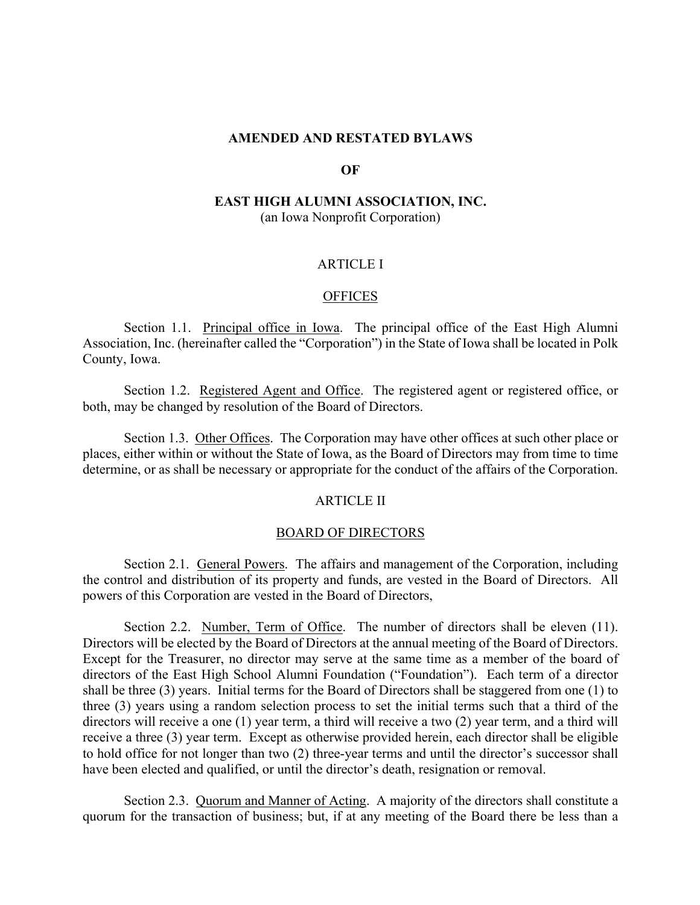## **AMENDED AND RESTATED BYLAWS**

## **OF**

## **EAST HIGH ALUMNI ASSOCIATION, INC.** (an Iowa Nonprofit Corporation)

## ARTICLE I

## **OFFICES**

Section 1.1. Principal office in Iowa. The principal office of the East High Alumni Association, Inc. (hereinafter called the "Corporation") in the State of Iowa shall be located in Polk County, Iowa.

Section 1.2. Registered Agent and Office. The registered agent or registered office, or both, may be changed by resolution of the Board of Directors.

Section 1.3. Other Offices. The Corporation may have other offices at such other place or places, either within or without the State of Iowa, as the Board of Directors may from time to time determine, or as shall be necessary or appropriate for the conduct of the affairs of the Corporation.

#### ARTICLE II

## BOARD OF DIRECTORS

Section 2.1. General Powers. The affairs and management of the Corporation, including the control and distribution of its property and funds, are vested in the Board of Directors. All powers of this Corporation are vested in the Board of Directors,

Section 2.2. Number, Term of Office. The number of directors shall be eleven (11). Directors will be elected by the Board of Directors at the annual meeting of the Board of Directors. Except for the Treasurer, no director may serve at the same time as a member of the board of directors of the East High School Alumni Foundation ("Foundation"). Each term of a director shall be three (3) years. Initial terms for the Board of Directors shall be staggered from one (1) to three (3) years using a random selection process to set the initial terms such that a third of the directors will receive a one (1) year term, a third will receive a two (2) year term, and a third will receive a three (3) year term. Except as otherwise provided herein, each director shall be eligible to hold office for not longer than two (2) three-year terms and until the director's successor shall have been elected and qualified, or until the director's death, resignation or removal.

Section 2.3. Quorum and Manner of Acting. A majority of the directors shall constitute a quorum for the transaction of business; but, if at any meeting of the Board there be less than a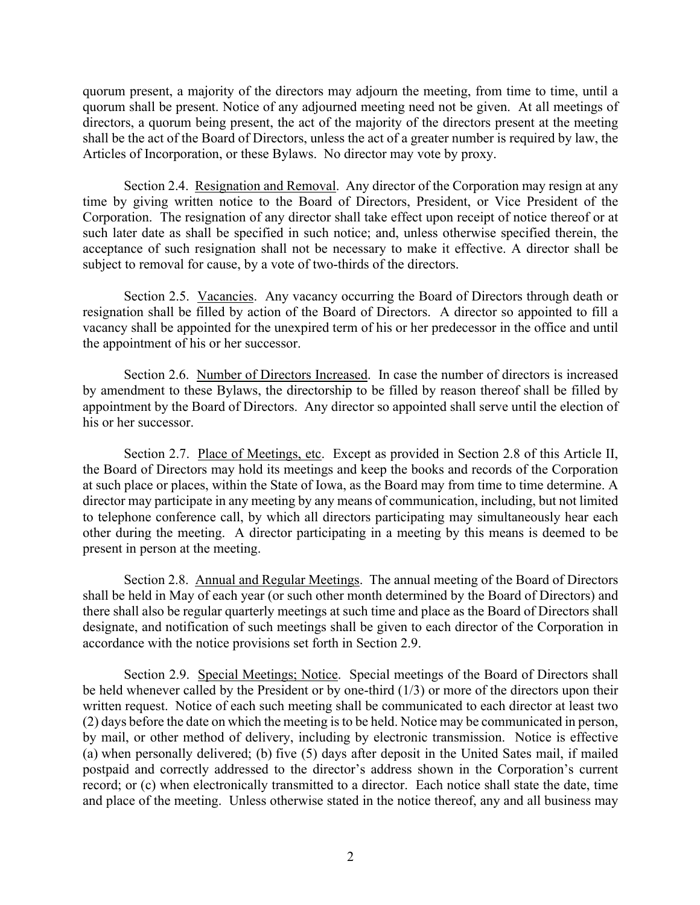quorum present, a majority of the directors may adjourn the meeting, from time to time, until a quorum shall be present. Notice of any adjourned meeting need not be given. At all meetings of directors, a quorum being present, the act of the majority of the directors present at the meeting shall be the act of the Board of Directors, unless the act of a greater number is required by law, the Articles of Incorporation, or these Bylaws. No director may vote by proxy.

Section 2.4. Resignation and Removal. Any director of the Corporation may resign at any time by giving written notice to the Board of Directors, President, or Vice President of the Corporation. The resignation of any director shall take effect upon receipt of notice thereof or at such later date as shall be specified in such notice; and, unless otherwise specified therein, the acceptance of such resignation shall not be necessary to make it effective. A director shall be subject to removal for cause, by a vote of two-thirds of the directors.

Section 2.5. Vacancies. Any vacancy occurring the Board of Directors through death or resignation shall be filled by action of the Board of Directors. A director so appointed to fill a vacancy shall be appointed for the unexpired term of his or her predecessor in the office and until the appointment of his or her successor.

Section 2.6. Number of Directors Increased. In case the number of directors is increased by amendment to these Bylaws, the directorship to be filled by reason thereof shall be filled by appointment by the Board of Directors. Any director so appointed shall serve until the election of his or her successor.

Section 2.7. Place of Meetings, etc. Except as provided in Section 2.8 of this Article II, the Board of Directors may hold its meetings and keep the books and records of the Corporation at such place or places, within the State of Iowa, as the Board may from time to time determine. A director may participate in any meeting by any means of communication, including, but not limited to telephone conference call, by which all directors participating may simultaneously hear each other during the meeting. A director participating in a meeting by this means is deemed to be present in person at the meeting.

Section 2.8. Annual and Regular Meetings. The annual meeting of the Board of Directors shall be held in May of each year (or such other month determined by the Board of Directors) and there shall also be regular quarterly meetings at such time and place as the Board of Directors shall designate, and notification of such meetings shall be given to each director of the Corporation in accordance with the notice provisions set forth in Section 2.9.

Section 2.9. Special Meetings; Notice. Special meetings of the Board of Directors shall be held whenever called by the President or by one-third (1/3) or more of the directors upon their written request. Notice of each such meeting shall be communicated to each director at least two (2) days before the date on which the meeting is to be held. Notice may be communicated in person, by mail, or other method of delivery, including by electronic transmission. Notice is effective (a) when personally delivered; (b) five (5) days after deposit in the United Sates mail, if mailed postpaid and correctly addressed to the director's address shown in the Corporation's current record; or (c) when electronically transmitted to a director. Each notice shall state the date, time and place of the meeting. Unless otherwise stated in the notice thereof, any and all business may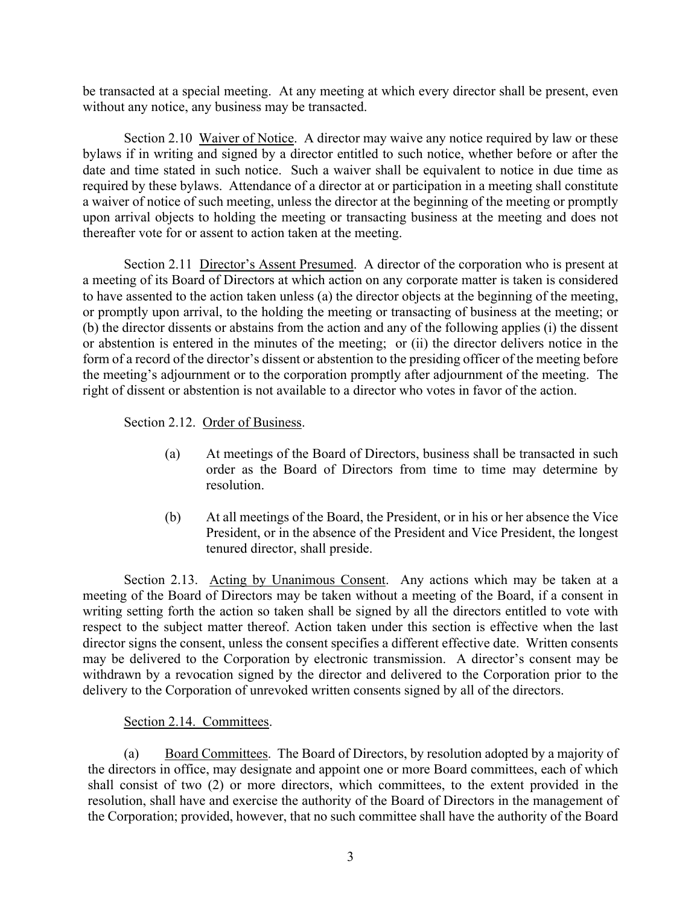be transacted at a special meeting. At any meeting at which every director shall be present, even without any notice, any business may be transacted.

Section 2.10 Waiver of Notice. A director may waive any notice required by law or these bylaws if in writing and signed by a director entitled to such notice, whether before or after the date and time stated in such notice. Such a waiver shall be equivalent to notice in due time as required by these bylaws. Attendance of a director at or participation in a meeting shall constitute a waiver of notice of such meeting, unless the director at the beginning of the meeting or promptly upon arrival objects to holding the meeting or transacting business at the meeting and does not thereafter vote for or assent to action taken at the meeting.

Section 2.11 Director's Assent Presumed. A director of the corporation who is present at a meeting of its Board of Directors at which action on any corporate matter is taken is considered to have assented to the action taken unless (a) the director objects at the beginning of the meeting, or promptly upon arrival, to the holding the meeting or transacting of business at the meeting; or (b) the director dissents or abstains from the action and any of the following applies (i) the dissent or abstention is entered in the minutes of the meeting; or (ii) the director delivers notice in the form of a record of the director's dissent or abstention to the presiding officer of the meeting before the meeting's adjournment or to the corporation promptly after adjournment of the meeting. The right of dissent or abstention is not available to a director who votes in favor of the action.

Section 2.12. Order of Business.

- (a) At meetings of the Board of Directors, business shall be transacted in such order as the Board of Directors from time to time may determine by resolution.
- (b) At all meetings of the Board, the President, or in his or her absence the Vice President, or in the absence of the President and Vice President, the longest tenured director, shall preside.

Section 2.13. Acting by Unanimous Consent. Any actions which may be taken at a meeting of the Board of Directors may be taken without a meeting of the Board, if a consent in writing setting forth the action so taken shall be signed by all the directors entitled to vote with respect to the subject matter thereof. Action taken under this section is effective when the last director signs the consent, unless the consent specifies a different effective date. Written consents may be delivered to the Corporation by electronic transmission. A director's consent may be withdrawn by a revocation signed by the director and delivered to the Corporation prior to the delivery to the Corporation of unrevoked written consents signed by all of the directors.

## Section 2.14. Committees.

(a) Board Committees. The Board of Directors, by resolution adopted by a majority of the directors in office, may designate and appoint one or more Board committees, each of which shall consist of two (2) or more directors, which committees, to the extent provided in the resolution, shall have and exercise the authority of the Board of Directors in the management of the Corporation; provided, however, that no such committee shall have the authority of the Board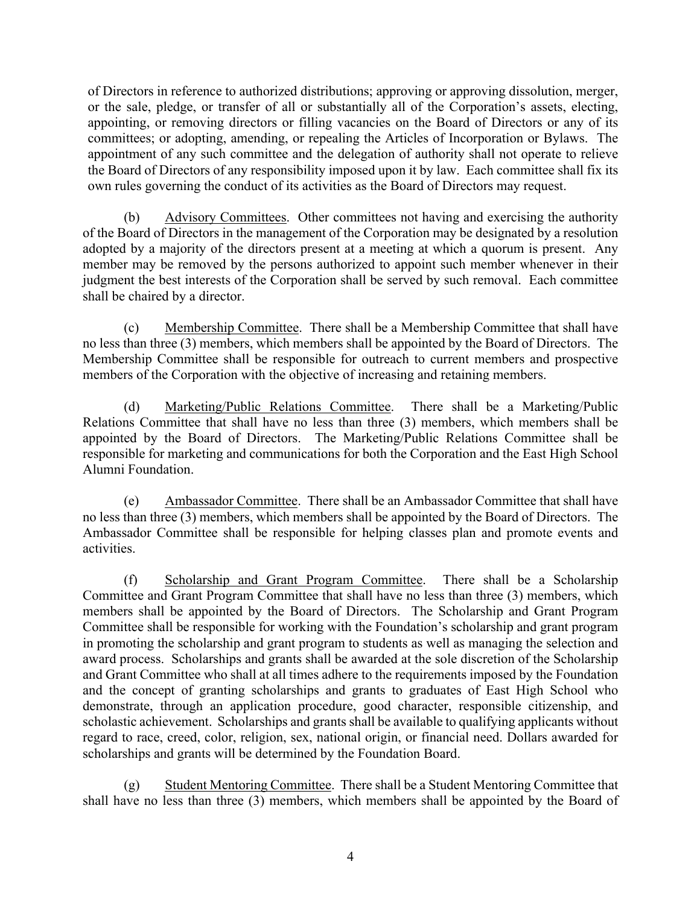of Directors in reference to authorized distributions; approving or approving dissolution, merger, or the sale, pledge, or transfer of all or substantially all of the Corporation's assets, electing, appointing, or removing directors or filling vacancies on the Board of Directors or any of its committees; or adopting, amending, or repealing the Articles of Incorporation or Bylaws. The appointment of any such committee and the delegation of authority shall not operate to relieve the Board of Directors of any responsibility imposed upon it by law. Each committee shall fix its own rules governing the conduct of its activities as the Board of Directors may request.

(b) Advisory Committees. Other committees not having and exercising the authority of the Board of Directors in the management of the Corporation may be designated by a resolution adopted by a majority of the directors present at a meeting at which a quorum is present. Any member may be removed by the persons authorized to appoint such member whenever in their judgment the best interests of the Corporation shall be served by such removal. Each committee shall be chaired by a director.

(c) Membership Committee. There shall be a Membership Committee that shall have no less than three (3) members, which members shall be appointed by the Board of Directors. The Membership Committee shall be responsible for outreach to current members and prospective members of the Corporation with the objective of increasing and retaining members.

(d) Marketing/Public Relations Committee. There shall be a Marketing/Public Relations Committee that shall have no less than three (3) members, which members shall be appointed by the Board of Directors. The Marketing/Public Relations Committee shall be responsible for marketing and communications for both the Corporation and the East High School Alumni Foundation.

(e) Ambassador Committee. There shall be an Ambassador Committee that shall have no less than three (3) members, which members shall be appointed by the Board of Directors. The Ambassador Committee shall be responsible for helping classes plan and promote events and activities.

(f) Scholarship and Grant Program Committee. There shall be a Scholarship Committee and Grant Program Committee that shall have no less than three (3) members, which members shall be appointed by the Board of Directors. The Scholarship and Grant Program Committee shall be responsible for working with the Foundation's scholarship and grant program in promoting the scholarship and grant program to students as well as managing the selection and award process. Scholarships and grants shall be awarded at the sole discretion of the Scholarship and Grant Committee who shall at all times adhere to the requirements imposed by the Foundation and the concept of granting scholarships and grants to graduates of East High School who demonstrate, through an application procedure, good character, responsible citizenship, and scholastic achievement. Scholarships and grants shall be available to qualifying applicants without regard to race, creed, color, religion, sex, national origin, or financial need. Dollars awarded for scholarships and grants will be determined by the Foundation Board.

(g) Student Mentoring Committee. There shall be a Student Mentoring Committee that shall have no less than three (3) members, which members shall be appointed by the Board of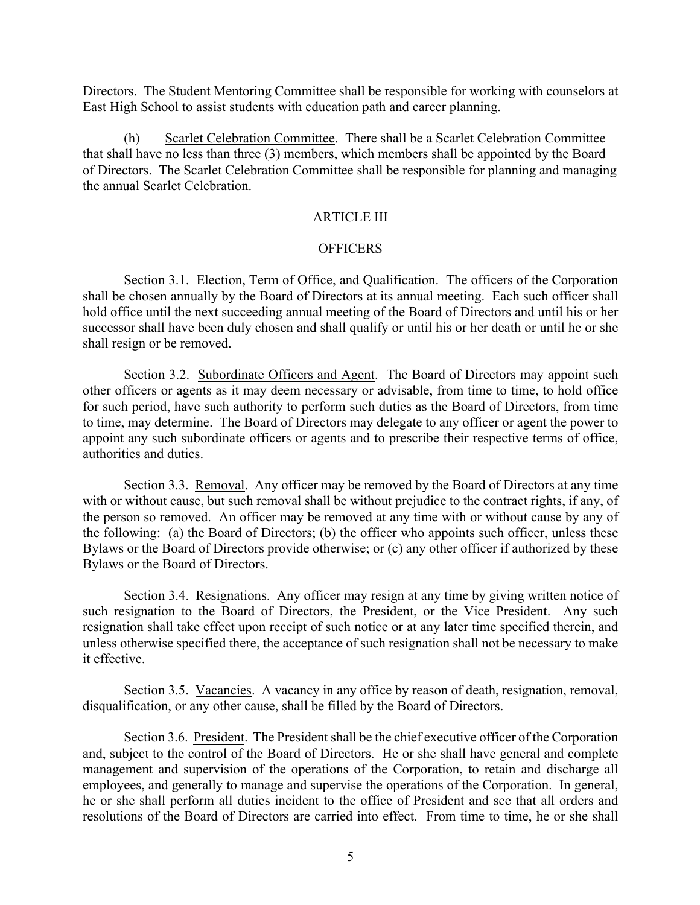Directors. The Student Mentoring Committee shall be responsible for working with counselors at East High School to assist students with education path and career planning.

(h) Scarlet Celebration Committee. There shall be a Scarlet Celebration Committee that shall have no less than three (3) members, which members shall be appointed by the Board of Directors. The Scarlet Celebration Committee shall be responsible for planning and managing the annual Scarlet Celebration.

## ARTICLE III

## **OFFICERS**

Section 3.1. Election, Term of Office, and Qualification. The officers of the Corporation shall be chosen annually by the Board of Directors at its annual meeting. Each such officer shall hold office until the next succeeding annual meeting of the Board of Directors and until his or her successor shall have been duly chosen and shall qualify or until his or her death or until he or she shall resign or be removed.

Section 3.2. Subordinate Officers and Agent. The Board of Directors may appoint such other officers or agents as it may deem necessary or advisable, from time to time, to hold office for such period, have such authority to perform such duties as the Board of Directors, from time to time, may determine. The Board of Directors may delegate to any officer or agent the power to appoint any such subordinate officers or agents and to prescribe their respective terms of office, authorities and duties.

Section 3.3. Removal. Any officer may be removed by the Board of Directors at any time with or without cause, but such removal shall be without prejudice to the contract rights, if any, of the person so removed. An officer may be removed at any time with or without cause by any of the following: (a) the Board of Directors; (b) the officer who appoints such officer, unless these Bylaws or the Board of Directors provide otherwise; or (c) any other officer if authorized by these Bylaws or the Board of Directors.

Section 3.4. Resignations. Any officer may resign at any time by giving written notice of such resignation to the Board of Directors, the President, or the Vice President. Any such resignation shall take effect upon receipt of such notice or at any later time specified therein, and unless otherwise specified there, the acceptance of such resignation shall not be necessary to make it effective.

Section 3.5. Vacancies. A vacancy in any office by reason of death, resignation, removal, disqualification, or any other cause, shall be filled by the Board of Directors.

Section 3.6. President. The President shall be the chief executive officer of the Corporation and, subject to the control of the Board of Directors. He or she shall have general and complete management and supervision of the operations of the Corporation, to retain and discharge all employees, and generally to manage and supervise the operations of the Corporation. In general, he or she shall perform all duties incident to the office of President and see that all orders and resolutions of the Board of Directors are carried into effect. From time to time, he or she shall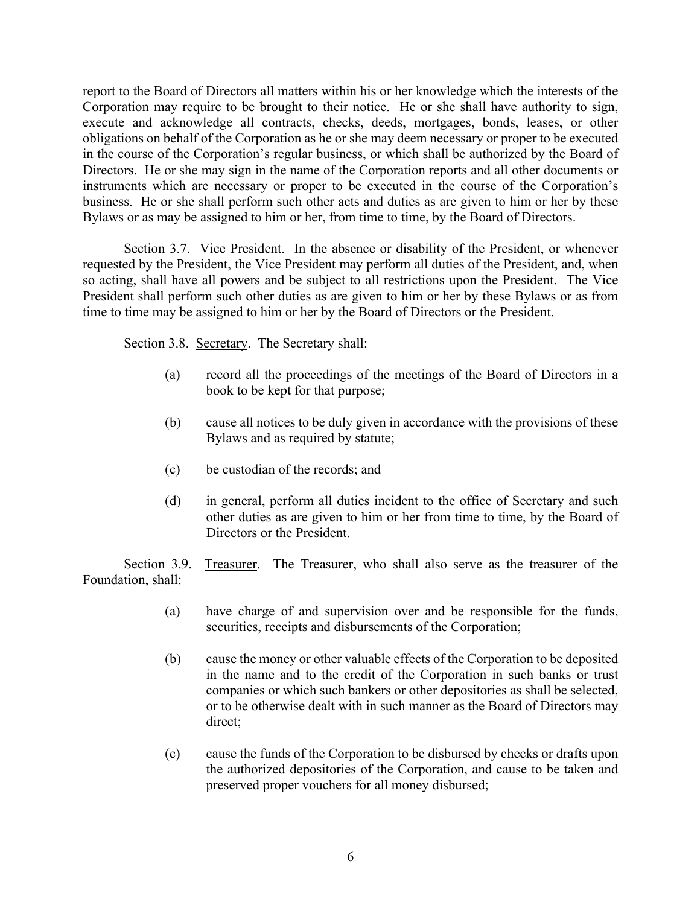report to the Board of Directors all matters within his or her knowledge which the interests of the Corporation may require to be brought to their notice. He or she shall have authority to sign, execute and acknowledge all contracts, checks, deeds, mortgages, bonds, leases, or other obligations on behalf of the Corporation as he or she may deem necessary or proper to be executed in the course of the Corporation's regular business, or which shall be authorized by the Board of Directors. He or she may sign in the name of the Corporation reports and all other documents or instruments which are necessary or proper to be executed in the course of the Corporation's business. He or she shall perform such other acts and duties as are given to him or her by these Bylaws or as may be assigned to him or her, from time to time, by the Board of Directors.

Section 3.7. Vice President. In the absence or disability of the President, or whenever requested by the President, the Vice President may perform all duties of the President, and, when so acting, shall have all powers and be subject to all restrictions upon the President. The Vice President shall perform such other duties as are given to him or her by these Bylaws or as from time to time may be assigned to him or her by the Board of Directors or the President.

Section 3.8. Secretary. The Secretary shall:

- (a) record all the proceedings of the meetings of the Board of Directors in a book to be kept for that purpose;
- (b) cause all notices to be duly given in accordance with the provisions of these Bylaws and as required by statute;
- (c) be custodian of the records; and
- (d) in general, perform all duties incident to the office of Secretary and such other duties as are given to him or her from time to time, by the Board of Directors or the President.

Section 3.9. Treasurer. The Treasurer, who shall also serve as the treasurer of the Foundation, shall:

- (a) have charge of and supervision over and be responsible for the funds, securities, receipts and disbursements of the Corporation;
- (b) cause the money or other valuable effects of the Corporation to be deposited in the name and to the credit of the Corporation in such banks or trust companies or which such bankers or other depositories as shall be selected, or to be otherwise dealt with in such manner as the Board of Directors may direct;
- (c) cause the funds of the Corporation to be disbursed by checks or drafts upon the authorized depositories of the Corporation, and cause to be taken and preserved proper vouchers for all money disbursed;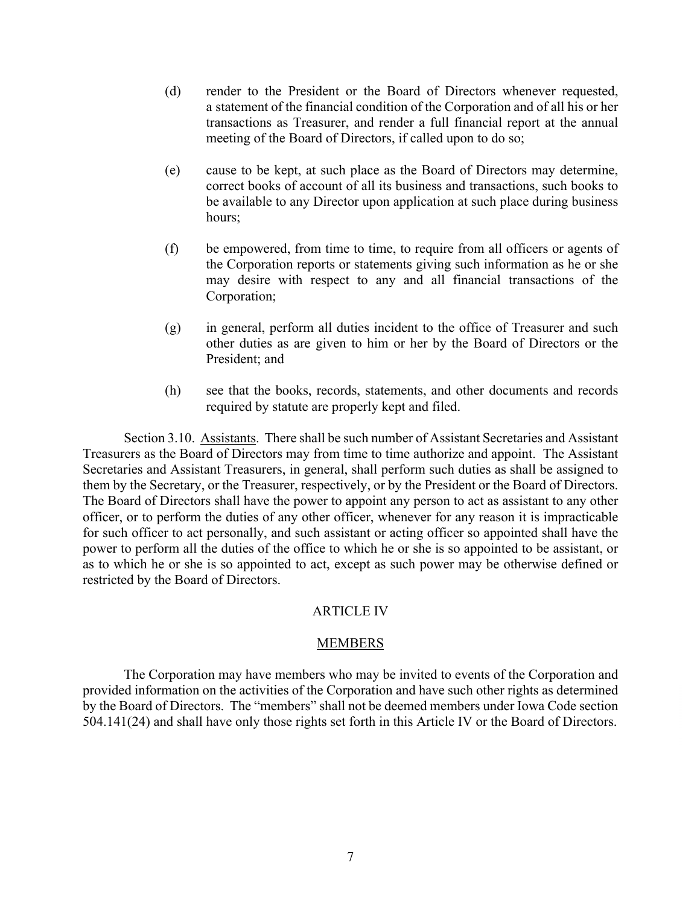- (d) render to the President or the Board of Directors whenever requested, a statement of the financial condition of the Corporation and of all his or her transactions as Treasurer, and render a full financial report at the annual meeting of the Board of Directors, if called upon to do so;
- (e) cause to be kept, at such place as the Board of Directors may determine, correct books of account of all its business and transactions, such books to be available to any Director upon application at such place during business hours;
- (f) be empowered, from time to time, to require from all officers or agents of the Corporation reports or statements giving such information as he or she may desire with respect to any and all financial transactions of the Corporation;
- (g) in general, perform all duties incident to the office of Treasurer and such other duties as are given to him or her by the Board of Directors or the President; and
- (h) see that the books, records, statements, and other documents and records required by statute are properly kept and filed.

Section 3.10. Assistants. There shall be such number of Assistant Secretaries and Assistant Treasurers as the Board of Directors may from time to time authorize and appoint. The Assistant Secretaries and Assistant Treasurers, in general, shall perform such duties as shall be assigned to them by the Secretary, or the Treasurer, respectively, or by the President or the Board of Directors. The Board of Directors shall have the power to appoint any person to act as assistant to any other officer, or to perform the duties of any other officer, whenever for any reason it is impracticable for such officer to act personally, and such assistant or acting officer so appointed shall have the power to perform all the duties of the office to which he or she is so appointed to be assistant, or as to which he or she is so appointed to act, except as such power may be otherwise defined or restricted by the Board of Directors.

## ARTICLE IV

## MEMBERS

The Corporation may have members who may be invited to events of the Corporation and provided information on the activities of the Corporation and have such other rights as determined by the Board of Directors. The "members" shall not be deemed members under Iowa Code section 504.141(24) and shall have only those rights set forth in this Article IV or the Board of Directors.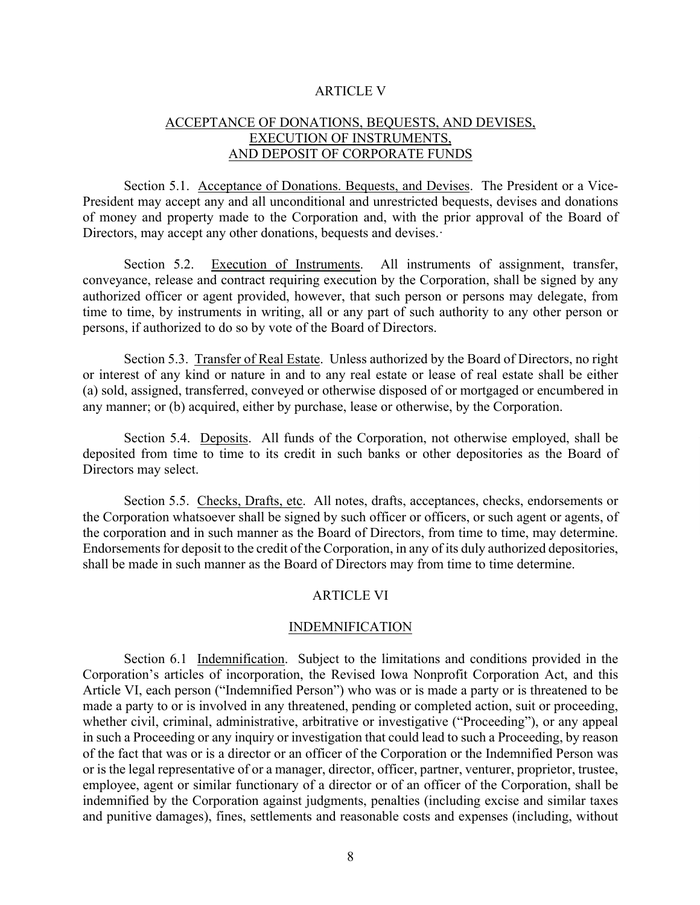## ARTICLE V

# ACCEPTANCE OF DONATIONS, BEQUESTS, AND DEVISES, EXECUTION OF INSTRUMENTS, AND DEPOSIT OF CORPORATE FUNDS

Section 5.1. Acceptance of Donations. Bequests, and Devises. The President or a Vice-President may accept any and all unconditional and unrestricted bequests, devises and donations of money and property made to the Corporation and, with the prior approval of the Board of Directors, may accept any other donations, bequests and devises.

Section 5.2. Execution of Instruments. All instruments of assignment, transfer, conveyance, release and contract requiring execution by the Corporation, shall be signed by any authorized officer or agent provided, however, that such person or persons may delegate, from time to time, by instruments in writing, all or any part of such authority to any other person or persons, if authorized to do so by vote of the Board of Directors.

Section 5.3. Transfer of Real Estate. Unless authorized by the Board of Directors, no right or interest of any kind or nature in and to any real estate or lease of real estate shall be either (a) sold, assigned, transferred, conveyed or otherwise disposed of or mortgaged or encumbered in any manner; or (b) acquired, either by purchase, lease or otherwise, by the Corporation.

Section 5.4. Deposits. All funds of the Corporation, not otherwise employed, shall be deposited from time to time to its credit in such banks or other depositories as the Board of Directors may select.

Section 5.5. Checks, Drafts, etc. All notes, drafts, acceptances, checks, endorsements or the Corporation whatsoever shall be signed by such officer or officers, or such agent or agents, of the corporation and in such manner as the Board of Directors, from time to time, may determine. Endorsements for deposit to the credit of the Corporation, in any of its duly authorized depositories, shall be made in such manner as the Board of Directors may from time to time determine.

## ARTICLE VI

#### INDEMNIFICATION

Section 6.1 Indemnification. Subject to the limitations and conditions provided in the Corporation's articles of incorporation, the Revised Iowa Nonprofit Corporation Act, and this Article VI, each person ("Indemnified Person") who was or is made a party or is threatened to be made a party to or is involved in any threatened, pending or completed action, suit or proceeding, whether civil, criminal, administrative, arbitrative or investigative ("Proceeding"), or any appeal in such a Proceeding or any inquiry or investigation that could lead to such a Proceeding, by reason of the fact that was or is a director or an officer of the Corporation or the Indemnified Person was or is the legal representative of or a manager, director, officer, partner, venturer, proprietor, trustee, employee, agent or similar functionary of a director or of an officer of the Corporation, shall be indemnified by the Corporation against judgments, penalties (including excise and similar taxes and punitive damages), fines, settlements and reasonable costs and expenses (including, without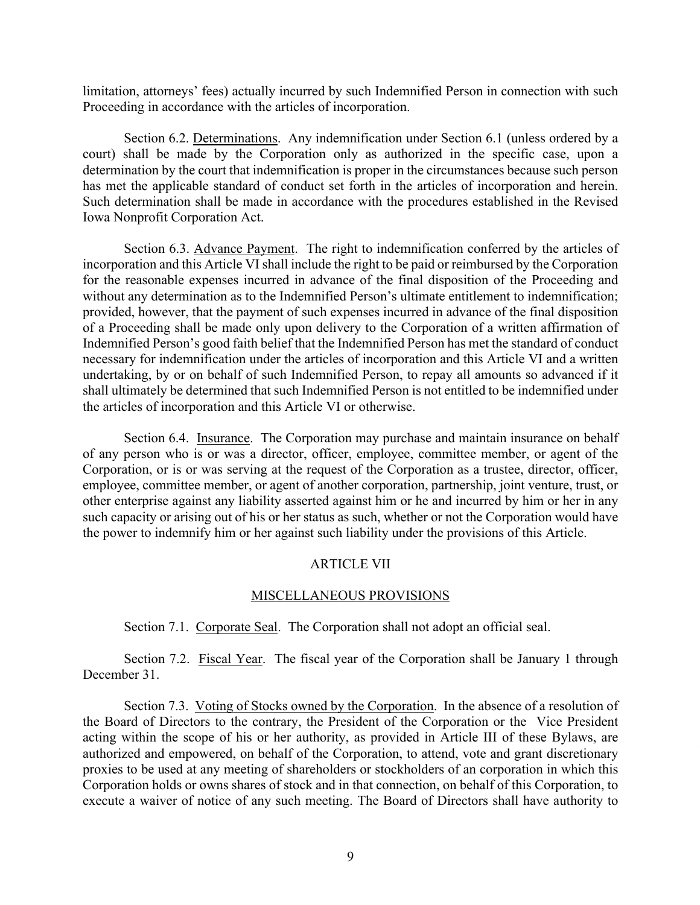limitation, attorneys' fees) actually incurred by such Indemnified Person in connection with such Proceeding in accordance with the articles of incorporation.

Section 6.2. Determinations. Any indemnification under Section 6.1 (unless ordered by a court) shall be made by the Corporation only as authorized in the specific case, upon a determination by the court that indemnification is proper in the circumstances because such person has met the applicable standard of conduct set forth in the articles of incorporation and herein. Such determination shall be made in accordance with the procedures established in the Revised Iowa Nonprofit Corporation Act.

Section 6.3. Advance Payment. The right to indemnification conferred by the articles of incorporation and this Article VI shall include the right to be paid or reimbursed by the Corporation for the reasonable expenses incurred in advance of the final disposition of the Proceeding and without any determination as to the Indemnified Person's ultimate entitlement to indemnification; provided, however, that the payment of such expenses incurred in advance of the final disposition of a Proceeding shall be made only upon delivery to the Corporation of a written affirmation of Indemnified Person's good faith belief that the Indemnified Person has met the standard of conduct necessary for indemnification under the articles of incorporation and this Article VI and a written undertaking, by or on behalf of such Indemnified Person, to repay all amounts so advanced if it shall ultimately be determined that such Indemnified Person is not entitled to be indemnified under the articles of incorporation and this Article VI or otherwise.

Section 6.4. Insurance. The Corporation may purchase and maintain insurance on behalf of any person who is or was a director, officer, employee, committee member, or agent of the Corporation, or is or was serving at the request of the Corporation as a trustee, director, officer, employee, committee member, or agent of another corporation, partnership, joint venture, trust, or other enterprise against any liability asserted against him or he and incurred by him or her in any such capacity or arising out of his or her status as such, whether or not the Corporation would have the power to indemnify him or her against such liability under the provisions of this Article.

## ARTICLE VII

## MISCELLANEOUS PROVISIONS

Section 7.1. Corporate Seal. The Corporation shall not adopt an official seal.

Section 7.2. Fiscal Year. The fiscal year of the Corporation shall be January 1 through December 31.

Section 7.3. Voting of Stocks owned by the Corporation. In the absence of a resolution of the Board of Directors to the contrary, the President of the Corporation or the Vice President acting within the scope of his or her authority, as provided in Article III of these Bylaws, are authorized and empowered, on behalf of the Corporation, to attend, vote and grant discretionary proxies to be used at any meeting of shareholders or stockholders of an corporation in which this Corporation holds or owns shares of stock and in that connection, on behalf of this Corporation, to execute a waiver of notice of any such meeting. The Board of Directors shall have authority to